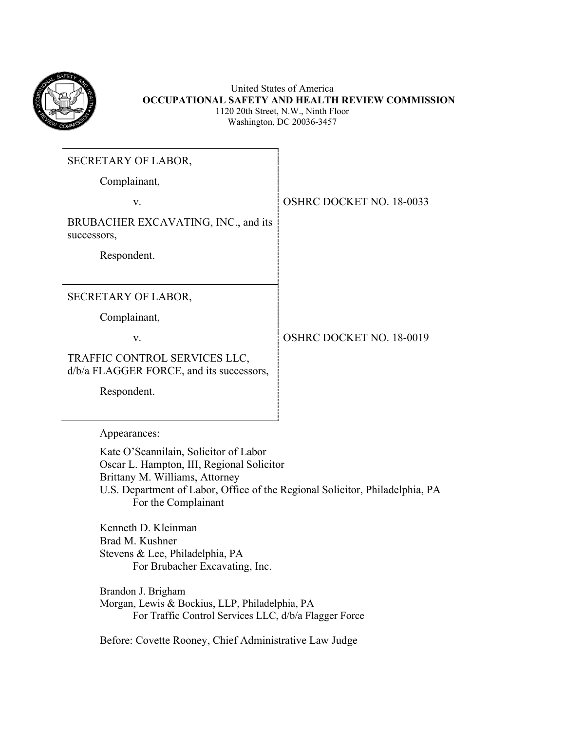

United States of America **OCCUPATIONAL SAFETY AND HEALTH REVIEW COMMISSION** 1120 20th Street, N.W., Ninth Floor Washington, DC 20036-3457

| <b>SECRETARY OF LABOR,</b>                                                |                                 |
|---------------------------------------------------------------------------|---------------------------------|
| Complainant,                                                              |                                 |
| V.                                                                        | <b>OSHRC DOCKET NO. 18-0033</b> |
| BRUBACHER EXCAVATING, INC., and its<br>successors,                        |                                 |
| Respondent.                                                               |                                 |
|                                                                           |                                 |
| SECRETARY OF LABOR,                                                       |                                 |
| Complainant,                                                              |                                 |
| V.                                                                        | <b>OSHRC DOCKET NO. 18-0019</b> |
| TRAFFIC CONTROL SERVICES LLC,<br>d/b/a FLAGGER FORCE, and its successors, |                                 |
| Respondent.                                                               |                                 |
|                                                                           |                                 |

Appearances:

Kate O'Scannilain, Solicitor of Labor Oscar L. Hampton, III, Regional Solicitor Brittany M. Williams, Attorney U.S. Department of Labor, Office of the Regional Solicitor, Philadelphia, PA For the Complainant

Kenneth D. Kleinman Brad M. Kushner Stevens & Lee, Philadelphia, PA For Brubacher Excavating, Inc.

Brandon J. Brigham Morgan, Lewis & Bockius, LLP, Philadelphia, PA For Traffic Control Services LLC, d/b/a Flagger Force

Before: Covette Rooney, Chief Administrative Law Judge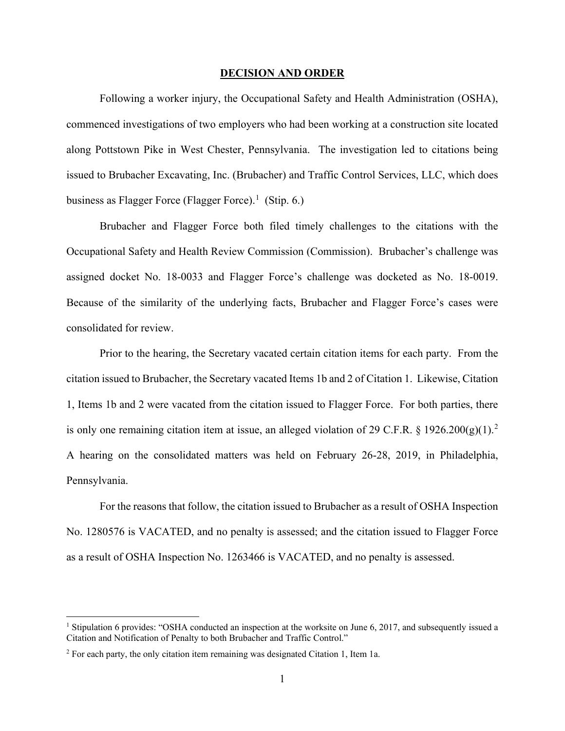#### **DECISION AND ORDER**

Following a worker injury, the Occupational Safety and Health Administration (OSHA), commenced investigations of two employers who had been working at a construction site located along Pottstown Pike in West Chester, Pennsylvania. The investigation led to citations being issued to Brubacher Excavating, Inc. (Brubacher) and Traffic Control Services, LLC, which does business as Flagger Force (Flagger Force).<sup>[1](#page-1-0)</sup> (Stip. 6.)

Brubacher and Flagger Force both filed timely challenges to the citations with the Occupational Safety and Health Review Commission (Commission). Brubacher's challenge was assigned docket No. 18-0033 and Flagger Force's challenge was docketed as No. 18-0019. Because of the similarity of the underlying facts, Brubacher and Flagger Force's cases were consolidated for review.

Prior to the hearing, the Secretary vacated certain citation items for each party. From the citation issued to Brubacher, the Secretary vacated Items 1b and 2 of Citation 1. Likewise, Citation 1, Items 1b and 2 were vacated from the citation issued to Flagger Force. For both parties, there is only one remaining citation item at issue, an alleged violation of [2](#page-1-1)9 C.F.R. § 1926.200 $(g)(1)$ .<sup>2</sup> A hearing on the consolidated matters was held on February 26-28, 2019, in Philadelphia, Pennsylvania.

For the reasons that follow, the citation issued to Brubacher as a result of OSHA Inspection No. 1280576 is VACATED, and no penalty is assessed; and the citation issued to Flagger Force as a result of OSHA Inspection No. 1263466 is VACATED, and no penalty is assessed.

<span id="page-1-0"></span><sup>&</sup>lt;sup>1</sup> Stipulation 6 provides: "OSHA conducted an inspection at the worksite on June 6, 2017, and subsequently issued a Citation and Notification of Penalty to both Brubacher and Traffic Control."

<span id="page-1-1"></span><sup>&</sup>lt;sup>2</sup> For each party, the only citation item remaining was designated Citation 1, Item 1a.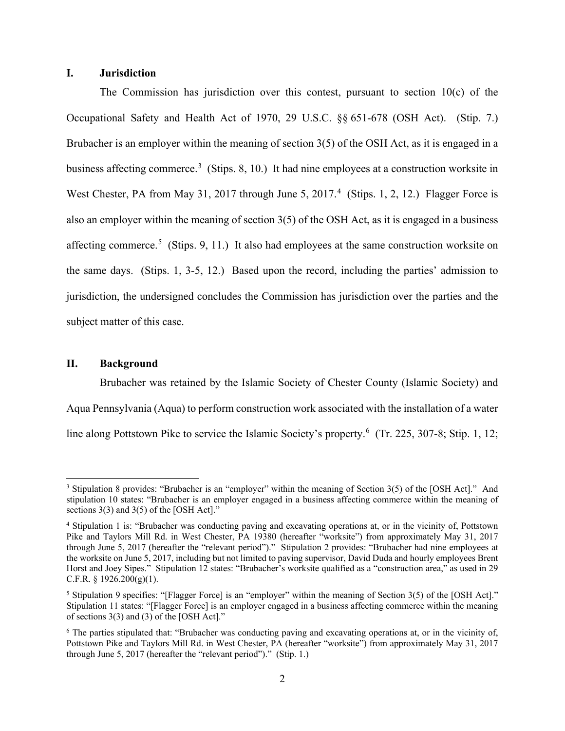# **I. Jurisdiction**

The Commission has jurisdiction over this contest, pursuant to section  $10(c)$  of the Occupational Safety and Health Act of 1970, 29 U.S.C. §§ 651-678 (OSH Act). (Stip. 7.) Brubacher is an employer within the meaning of section 3(5) of the OSH Act, as it is engaged in a business affecting commerce.<sup>[3](#page-2-0)</sup> (Stips. 8, 10.) It had nine employees at a construction worksite in West Chester, PA from May 31, 2017 through June 5, 2017.<sup>[4](#page-2-1)</sup> (Stips. 1, 2, 12.) Flagger Force is also an employer within the meaning of section 3(5) of the OSH Act, as it is engaged in a business affecting commerce.<sup>[5](#page-2-2)</sup> (Stips. 9, 11.) It also had employees at the same construction worksite on the same days. (Stips. 1, 3-5, 12.) Based upon the record, including the parties' admission to jurisdiction, the undersigned concludes the Commission has jurisdiction over the parties and the subject matter of this case.

#### **II. Background**

Brubacher was retained by the Islamic Society of Chester County (Islamic Society) and Aqua Pennsylvania (Aqua) to perform construction work associated with the installation of a water line along Pottstown Pike to service the Islamic Society's property.<sup>[6](#page-2-3)</sup> (Tr. 225, 307-8; Stip. 1, 12;

<span id="page-2-0"></span><sup>3</sup> Stipulation 8 provides: "Brubacher is an "employer" within the meaning of Section 3(5) of the [OSH Act]." And stipulation 10 states: "Brubacher is an employer engaged in a business affecting commerce within the meaning of sections 3(3) and 3(5) of the [OSH Act]."

<span id="page-2-1"></span><sup>4</sup> Stipulation 1 is: "Brubacher was conducting paving and excavating operations at, or in the vicinity of, Pottstown Pike and Taylors Mill Rd. in West Chester, PA 19380 (hereafter "worksite") from approximately May 31, 2017 through June 5, 2017 (hereafter the "relevant period")." Stipulation 2 provides: "Brubacher had nine employees at the worksite on June 5, 2017, including but not limited to paving supervisor, David Duda and hourly employees Brent Horst and Joey Sipes." Stipulation 12 states: "Brubacher's worksite qualified as a "construction area," as used in 29 C.F.R.  $\S$  1926.200(g)(1).

<span id="page-2-2"></span><sup>&</sup>lt;sup>5</sup> Stipulation 9 specifies: "[Flagger Force] is an "employer" within the meaning of Section  $3(5)$  of the [OSH Act]." Stipulation 11 states: "[Flagger Force] is an employer engaged in a business affecting commerce within the meaning of sections 3(3) and (3) of the [OSH Act]."

<span id="page-2-3"></span><sup>6</sup> The parties stipulated that: "Brubacher was conducting paving and excavating operations at, or in the vicinity of, Pottstown Pike and Taylors Mill Rd. in West Chester, PA (hereafter "worksite") from approximately May 31, 2017 through June 5, 2017 (hereafter the "relevant period")." (Stip. 1.)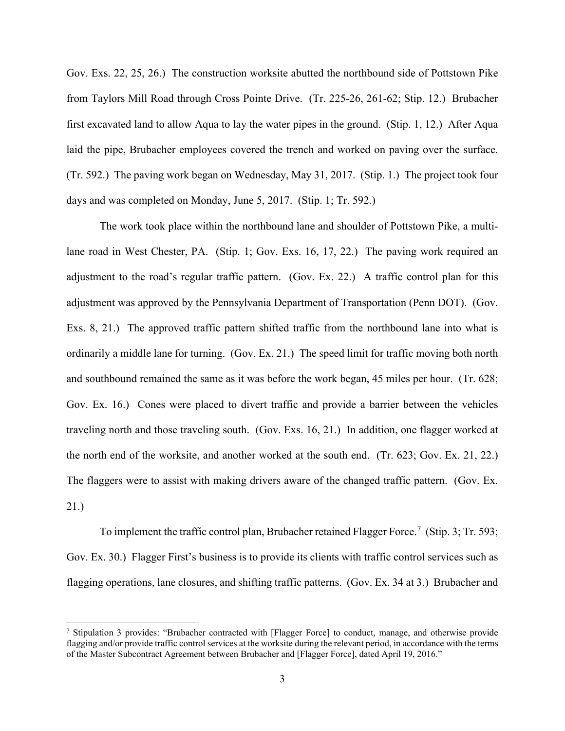Gov. Exs. 22, 25, 26.) The construction worksite abutted the northbound side of Pottstown Pike from Taylors Mill Road through Cross Pointe Drive. (Tr. 225-26, 261-62; Stip. 12.) Brubacher first excavated land to allow Aqua to lay the water pipes in the ground. (Stip. 1, 12.) After Aqua laid the pipe, Brubacher employees covered the trench and worked on paving over the surface. (Tr. 592.) The paving work began on Wednesday, May 31, 2017. (Stip. 1.) The project took four days and was completed on Monday, June 5, 2017. (Stip. 1; Tr. 592.)

The work took place within the northbound lane and shoulder of Pottstown Pike, a multilane road in West Chester, PA. (Stip. 1; Gov. Exs. 16, 17, 22.) The paving work required an adjustment to the road's regular traffic pattern. (Gov. Ex. 22.) A traffic control plan for this adjustment was approved by the Pennsylvania Department of Transportation (Penn DOT). (Gov. Exs. 8, 21.) The approved traffic pattern shifted traffic from the northbound lane into what is ordinarily a middle lane for turning. (Gov. Ex. 21.)The speed limit for traffic moving both north and southbound remained the same as it was before the work began, 45 miles per hour. (Tr. 628; Gov. Ex. 16.) Cones were placed to divert traffic and provide a barrier between the vehicles traveling north and those traveling south. (Gov. Exs. 16, 21.) In addition, one flagger worked at the north end of the worksite, and another worked at the south end. (Tr. 623; Gov. Ex. 21, 22.) The flaggers were to assist with making drivers aware of the changed traffic pattern. (Gov. Ex. 21.)

To implement the traffic control plan, Brubacher retained Flagger Force.<sup>[7](#page-3-0)</sup> (Stip. 3; Tr. 593; Gov. Ex. 30.) Flagger First's business is to provide its clients with traffic control services such as flagging operations, lane closures, and shifting traffic patterns. (Gov. Ex. 34 at 3.) Brubacher and

<span id="page-3-0"></span><sup>7</sup> Stipulation 3 provides: "Brubacher contracted with [Flagger Force] to conduct, manage, and otherwise provide flagging and/or provide traffic control services at the worksite during the relevant period, in accordance with the terms of the Master Subcontract Agreement between Brubacher and [Flagger Force], dated April 19, 2016."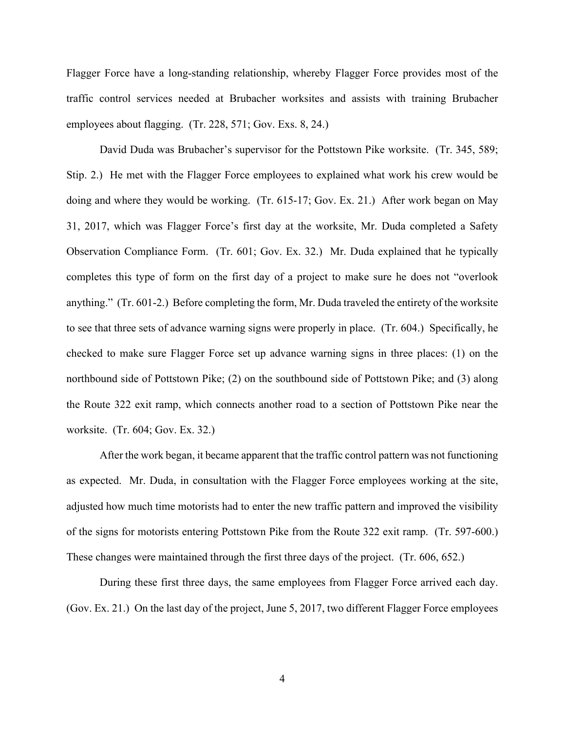Flagger Force have a long-standing relationship, whereby Flagger Force provides most of the traffic control services needed at Brubacher worksites and assists with training Brubacher employees about flagging. (Tr. 228, 571; Gov. Exs. 8, 24.)

David Duda was Brubacher's supervisor for the Pottstown Pike worksite. (Tr. 345, 589; Stip. 2.) He met with the Flagger Force employees to explained what work his crew would be doing and where they would be working. (Tr. 615-17; Gov. Ex. 21.) After work began on May 31, 2017, which was Flagger Force's first day at the worksite, Mr. Duda completed a Safety Observation Compliance Form. (Tr. 601; Gov. Ex. 32.) Mr. Duda explained that he typically completes this type of form on the first day of a project to make sure he does not "overlook anything." (Tr. 601-2.) Before completing the form, Mr. Duda traveled the entirety of the worksite to see that three sets of advance warning signs were properly in place. (Tr. 604.) Specifically, he checked to make sure Flagger Force set up advance warning signs in three places: (1) on the northbound side of Pottstown Pike; (2) on the southbound side of Pottstown Pike; and (3) along the Route 322 exit ramp, which connects another road to a section of Pottstown Pike near the worksite. (Tr. 604; Gov. Ex. 32.)

After the work began, it became apparent that the traffic control pattern was not functioning as expected. Mr. Duda, in consultation with the Flagger Force employees working at the site, adjusted how much time motorists had to enter the new traffic pattern and improved the visibility of the signs for motorists entering Pottstown Pike from the Route 322 exit ramp. (Tr. 597-600.) These changes were maintained through the first three days of the project. (Tr. 606, 652.)

During these first three days, the same employees from Flagger Force arrived each day. (Gov. Ex. 21.) On the last day of the project, June 5, 2017, two different Flagger Force employees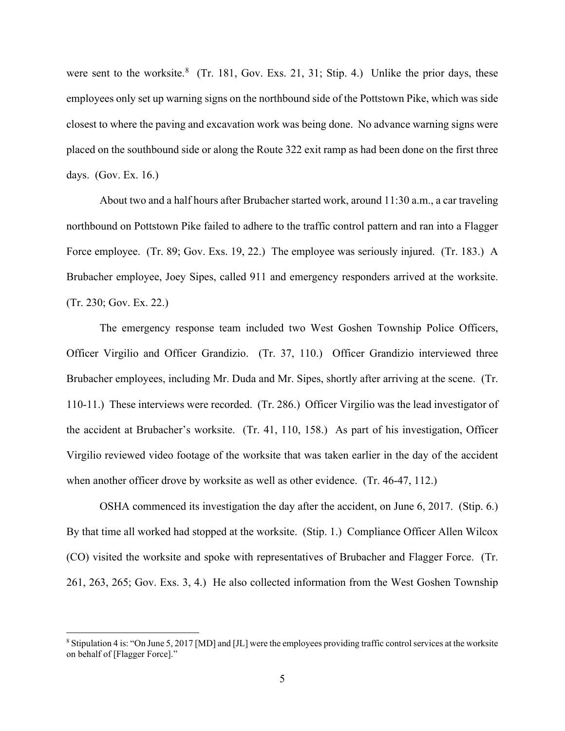were sent to the worksite. $8$  (Tr. 181, Gov. Exs. 21, 31; Stip. 4.) Unlike the prior days, these employees only set up warning signs on the northbound side of the Pottstown Pike, which was side closest to where the paving and excavation work was being done. No advance warning signs were placed on the southbound side or along the Route 322 exit ramp as had been done on the first three days. (Gov. Ex. 16.)

About two and a half hours after Brubacher started work, around 11:30 a.m., a car traveling northbound on Pottstown Pike failed to adhere to the traffic control pattern and ran into a Flagger Force employee. (Tr. 89; Gov. Exs. 19, 22.) The employee was seriously injured. (Tr. 183.) A Brubacher employee, Joey Sipes, called 911 and emergency responders arrived at the worksite. (Tr. 230; Gov. Ex. 22.)

The emergency response team included two West Goshen Township Police Officers, Officer Virgilio and Officer Grandizio. (Tr. 37, 110.) Officer Grandizio interviewed three Brubacher employees, including Mr. Duda and Mr. Sipes, shortly after arriving at the scene. (Tr. 110-11.) These interviews were recorded. (Tr. 286.) Officer Virgilio was the lead investigator of the accident at Brubacher's worksite. (Tr. 41, 110, 158.) As part of his investigation, Officer Virgilio reviewed video footage of the worksite that was taken earlier in the day of the accident when another officer drove by worksite as well as other evidence. (Tr. 46-47, 112.)

OSHA commenced its investigation the day after the accident, on June 6, 2017. (Stip. 6.) By that time all worked had stopped at the worksite. (Stip. 1.) Compliance Officer Allen Wilcox (CO) visited the worksite and spoke with representatives of Brubacher and Flagger Force. (Tr. 261, 263, 265; Gov. Exs. 3, 4.) He also collected information from the West Goshen Township

<span id="page-5-0"></span><sup>8</sup> Stipulation 4 is: "On June 5, 2017 [MD] and [JL] were the employees providing traffic control services at the worksite on behalf of [Flagger Force]."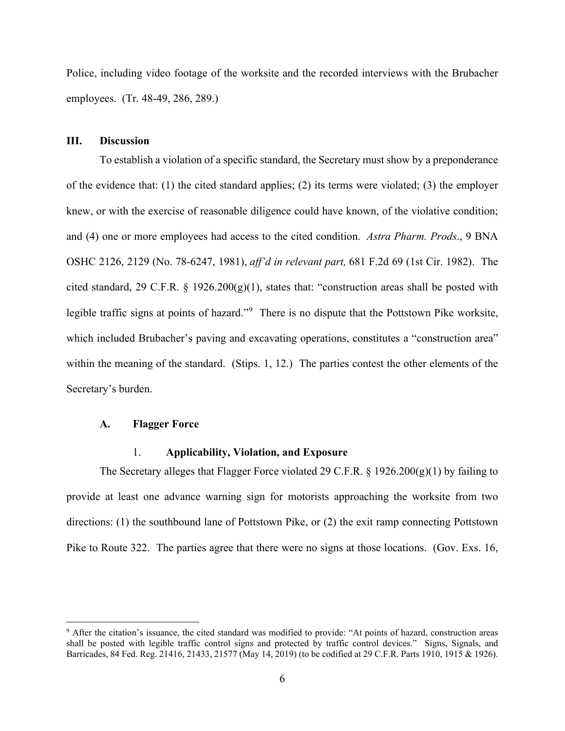Police, including video footage of the worksite and the recorded interviews with the Brubacher employees. (Tr. 48-49, 286, 289.)

### **III. Discussion**

To establish a violation of a specific standard, the Secretary must show by a preponderance of the evidence that: (1) the cited standard applies; (2) its terms were violated; (3) the employer knew, or with the exercise of reasonable diligence could have known, of the violative condition; and (4) one or more employees had access to the cited condition. *Astra Pharm. Prods*., 9 BNA OSHC 2126, 2129 (No. 78-6247, 1981), *aff'd in relevant part,* 681 F.2d 69 (1st Cir. 1982). The cited standard, 29 C.F.R. § 1926.200 $(g)(1)$ , states that: "construction areas shall be posted with legible traffic signs at points of hazard."<sup>[9](#page-6-0)</sup> There is no dispute that the Pottstown Pike worksite, which included Brubacher's paving and excavating operations, constitutes a "construction area" within the meaning of the standard. (Stips. 1, 12.) The parties contest the other elements of the Secretary's burden.

## **A. Flagger Force**

## 1. **Applicability, Violation, and Exposure**

The Secretary alleges that Flagger Force violated 29 C.F.R.  $\S$  1926.200(g)(1) by failing to provide at least one advance warning sign for motorists approaching the worksite from two directions: (1) the southbound lane of Pottstown Pike, or (2) the exit ramp connecting Pottstown Pike to Route 322. The parties agree that there were no signs at those locations. (Gov. Exs. 16,

<span id="page-6-0"></span><sup>9</sup> After the citation's issuance, the cited standard was modified to provide: "At points of hazard, construction areas shall be posted with legible traffic control signs and protected by traffic control devices." Signs, Signals, and Barricades, 84 Fed. Reg. 21416, 21433, 21577 (May 14, 2019) (to be codified at 29 C.F.R. Parts 1910, 1915 & 1926).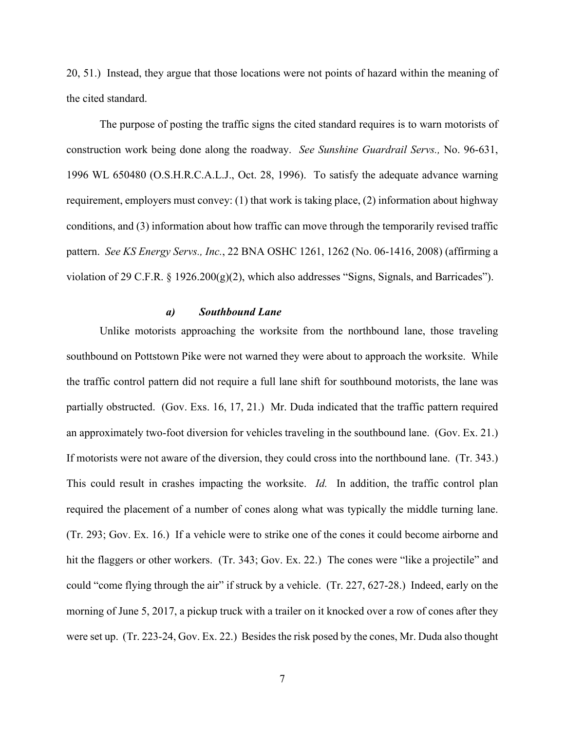20, 51.) Instead, they argue that those locations were not points of hazard within the meaning of the cited standard.

The purpose of posting the traffic signs the cited standard requires is to warn motorists of construction work being done along the roadway. *See Sunshine Guardrail Servs.,* No. 96-631, 1996 WL 650480 (O.S.H.R.C.A.L.J., Oct. 28, 1996). To satisfy the adequate advance warning requirement, employers must convey: (1) that work is taking place, (2) information about highway conditions, and (3) information about how traffic can move through the temporarily revised traffic pattern. *See KS Energy Servs., Inc.*, 22 BNA OSHC 1261, 1262 (No. 06-1416, 2008) (affirming a violation of 29 C.F.R. § 1926.200(g)(2), which also addresses "Signs, Signals, and Barricades").

### *a) Southbound Lane*

Unlike motorists approaching the worksite from the northbound lane, those traveling southbound on Pottstown Pike were not warned they were about to approach the worksite. While the traffic control pattern did not require a full lane shift for southbound motorists, the lane was partially obstructed. (Gov. Exs. 16, 17, 21.) Mr. Duda indicated that the traffic pattern required an approximately two-foot diversion for vehicles traveling in the southbound lane. (Gov. Ex. 21.) If motorists were not aware of the diversion, they could cross into the northbound lane. (Tr. 343.) This could result in crashes impacting the worksite. *Id.* In addition, the traffic control plan required the placement of a number of cones along what was typically the middle turning lane. (Tr. 293; Gov. Ex. 16.) If a vehicle were to strike one of the cones it could become airborne and hit the flaggers or other workers. (Tr. 343; Gov. Ex. 22.) The cones were "like a projectile" and could "come flying through the air" if struck by a vehicle. (Tr. 227, 627-28.) Indeed, early on the morning of June 5, 2017, a pickup truck with a trailer on it knocked over a row of cones after they were set up. (Tr. 223-24, Gov. Ex. 22.) Besides the risk posed by the cones, Mr. Duda also thought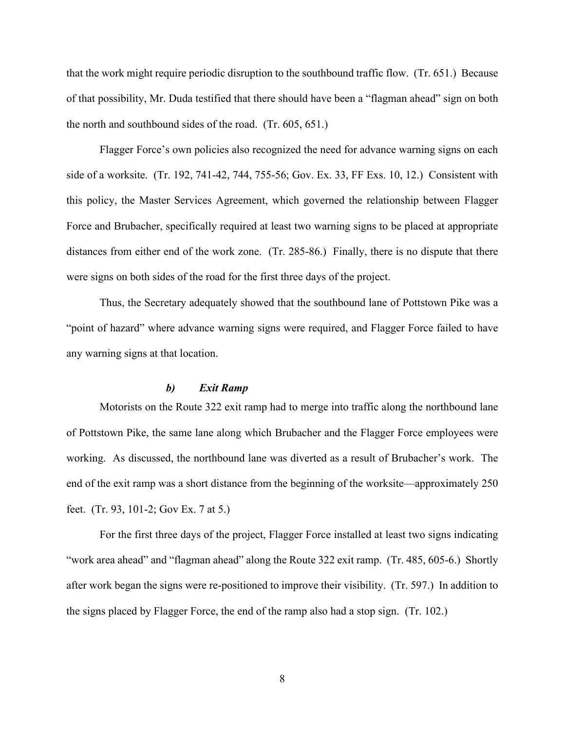that the work might require periodic disruption to the southbound traffic flow. (Tr. 651.) Because of that possibility, Mr. Duda testified that there should have been a "flagman ahead" sign on both the north and southbound sides of the road. (Tr. 605, 651.)

Flagger Force's own policies also recognized the need for advance warning signs on each side of a worksite. (Tr. 192, 741-42, 744, 755-56; Gov. Ex. 33, FF Exs. 10, 12.) Consistent with this policy, the Master Services Agreement, which governed the relationship between Flagger Force and Brubacher, specifically required at least two warning signs to be placed at appropriate distances from either end of the work zone. (Tr. 285-86.) Finally, there is no dispute that there were signs on both sides of the road for the first three days of the project.

Thus, the Secretary adequately showed that the southbound lane of Pottstown Pike was a "point of hazard" where advance warning signs were required, and Flagger Force failed to have any warning signs at that location.

## *b) Exit Ramp*

Motorists on the Route 322 exit ramp had to merge into traffic along the northbound lane of Pottstown Pike, the same lane along which Brubacher and the Flagger Force employees were working. As discussed, the northbound lane was diverted as a result of Brubacher's work. The end of the exit ramp was a short distance from the beginning of the worksite—approximately 250 feet. (Tr. 93, 101-2; Gov Ex. 7 at 5.)

For the first three days of the project, Flagger Force installed at least two signs indicating "work area ahead" and "flagman ahead" along the Route 322 exit ramp. (Tr. 485, 605-6.) Shortly after work began the signs were re-positioned to improve their visibility. (Tr. 597.) In addition to the signs placed by Flagger Force, the end of the ramp also had a stop sign. (Tr. 102.)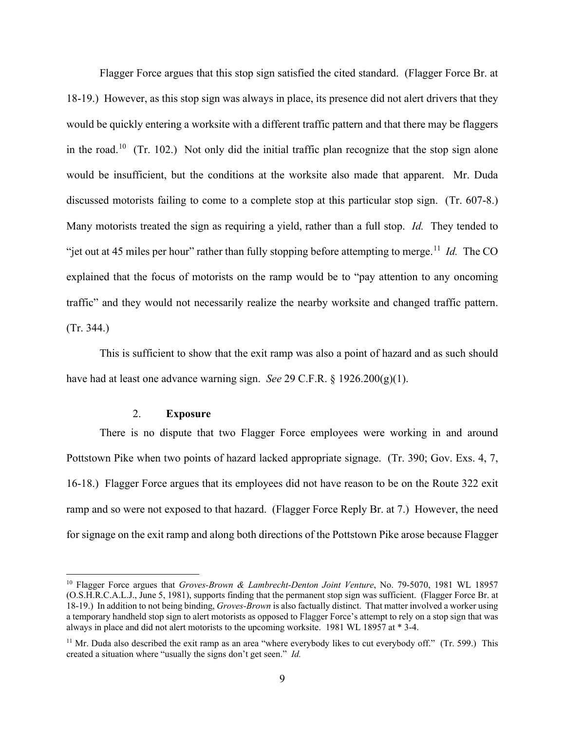Flagger Force argues that this stop sign satisfied the cited standard. (Flagger Force Br. at 18-19.) However, as this stop sign was always in place, its presence did not alert drivers that they would be quickly entering a worksite with a different traffic pattern and that there may be flaggers in the road.<sup>10</sup> (Tr. 102.) Not only did the initial traffic plan recognize that the stop sign alone would be insufficient, but the conditions at the worksite also made that apparent. Mr. Duda discussed motorists failing to come to a complete stop at this particular stop sign. (Tr. 607-8.) Many motorists treated the sign as requiring a yield, rather than a full stop. *Id.* They tended to "jet out at 45 miles per hour" rather than fully stopping before attempting to merge.<sup>11</sup> *Id.* The CO explained that the focus of motorists on the ramp would be to "pay attention to any oncoming traffic" and they would not necessarily realize the nearby worksite and changed traffic pattern. (Tr. 344.)

This is sufficient to show that the exit ramp was also a point of hazard and as such should have had at least one advance warning sign. *See* 29 C.F.R. § 1926.200(g)(1).

## 2. **Exposure**

There is no dispute that two Flagger Force employees were working in and around Pottstown Pike when two points of hazard lacked appropriate signage. (Tr. 390; Gov. Exs. 4, 7, 16-18.) Flagger Force argues that its employees did not have reason to be on the Route 322 exit ramp and so were not exposed to that hazard. (Flagger Force Reply Br. at 7.) However, the need for signage on the exit ramp and along both directions of the Pottstown Pike arose because Flagger

<span id="page-9-0"></span><sup>10</sup> Flagger Force argues that *Groves-Brown & Lambrecht-Denton Joint Venture*, No. 79-5070, 1981 WL 18957 (O.S.H.R.C.A.L.J., June 5, 1981), supports finding that the permanent stop sign was sufficient. (Flagger Force Br. at 18-19.) In addition to not being binding, *Groves-Brown* is also factually distinct. That matter involved a worker using a temporary handheld stop sign to alert motorists as opposed to Flagger Force's attempt to rely on a stop sign that was always in place and did not alert motorists to the upcoming worksite. 1981 WL 18957 at \* 3-4.

<span id="page-9-1"></span> $11$  Mr. Duda also described the exit ramp as an area "where everybody likes to cut everybody off." (Tr. 599.) This created a situation where "usually the signs don't get seen." *Id.*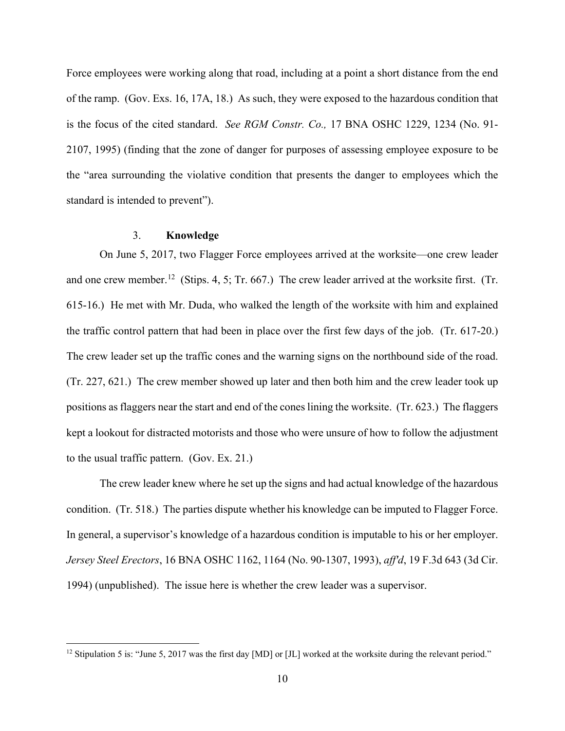Force employees were working along that road, including at a point a short distance from the end of the ramp. (Gov. Exs. 16, 17A, 18.) As such, they were exposed to the hazardous condition that is the focus of the cited standard. *See RGM Constr. Co.,* 17 BNA OSHC 1229, 1234 (No. 91- 2107, 1995) (finding that the zone of danger for purposes of assessing employee exposure to be the "area surrounding the violative condition that presents the danger to employees which the standard is intended to prevent").

# 3. **Knowledge**

On June 5, 2017, two Flagger Force employees arrived at the worksite—one crew leader and one crew member.<sup>12</sup> (Stips. 4, 5; Tr. 667.) The crew leader arrived at the worksite first. (Tr. 615-16.) He met with Mr. Duda, who walked the length of the worksite with him and explained the traffic control pattern that had been in place over the first few days of the job. (Tr. 617-20.) The crew leader set up the traffic cones and the warning signs on the northbound side of the road. (Tr. 227, 621.) The crew member showed up later and then both him and the crew leader took up positions as flaggers near the start and end of the cones lining the worksite. (Tr. 623.) The flaggers kept a lookout for distracted motorists and those who were unsure of how to follow the adjustment to the usual traffic pattern. (Gov. Ex. 21.)

The crew leader knew where he set up the signs and had actual knowledge of the hazardous condition. (Tr. 518.) The parties dispute whether his knowledge can be imputed to Flagger Force. In general, a supervisor's knowledge of a hazardous condition is imputable to his or her employer. *Jersey Steel Erectors*, 16 BNA OSHC 1162, 1164 (No. 90-1307, 1993), *aff'd*, 19 F.3d 643 (3d Cir. 1994) (unpublished). The issue here is whether the crew leader was a supervisor.

<span id="page-10-0"></span><sup>&</sup>lt;sup>12</sup> Stipulation 5 is: "June 5, 2017 was the first day [MD] or [JL] worked at the worksite during the relevant period."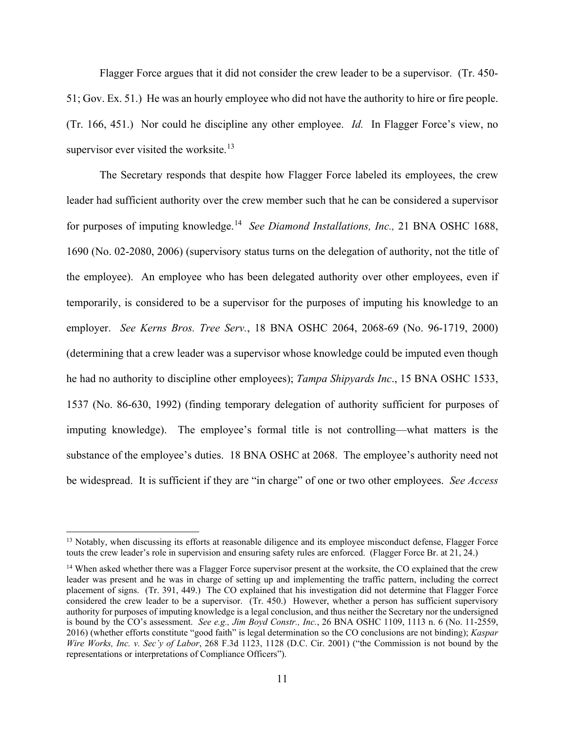Flagger Force argues that it did not consider the crew leader to be a supervisor. (Tr. 450- 51; Gov. Ex. 51.) He was an hourly employee who did not have the authority to hire or fire people. (Tr. 166, 451.) Nor could he discipline any other employee. *Id.* In Flagger Force's view, no supervisor ever visited the worksite. $13$ 

The Secretary responds that despite how Flagger Force labeled its employees, the crew leader had sufficient authority over the crew member such that he can be considered a supervisor for purposes of imputing knowledge.[14](#page-11-1) *See Diamond Installations, Inc.,* 21 BNA OSHC 1688, 1690 (No. 02-2080, 2006) (supervisory status turns on the delegation of authority, not the title of the employee). An employee who has been delegated authority over other employees, even if temporarily, is considered to be a supervisor for the purposes of imputing his knowledge to an employer. *See Kerns Bros. Tree Serv.*, 18 BNA OSHC 2064, 2068-69 (No. 96-1719, 2000) (determining that a crew leader was a supervisor whose knowledge could be imputed even though he had no authority to discipline other employees); *Tampa Shipyards Inc*., 15 BNA OSHC 1533, 1537 (No. 86-630, 1992) (finding temporary delegation of authority sufficient for purposes of imputing knowledge). The employee's formal title is not controlling—what matters is the substance of the employee's duties. 18 BNA OSHC at 2068. The employee's authority need not be widespread. It is sufficient if they are "in charge" of one or two other employees. *See Access* 

<span id="page-11-0"></span><sup>&</sup>lt;sup>13</sup> Notably, when discussing its efforts at reasonable diligence and its employee misconduct defense, Flagger Force touts the crew leader's role in supervision and ensuring safety rules are enforced. (Flagger Force Br. at 21, 24.)

<span id="page-11-1"></span><sup>&</sup>lt;sup>14</sup> When asked whether there was a Flagger Force supervisor present at the worksite, the CO explained that the crew leader was present and he was in charge of setting up and implementing the traffic pattern, including the correct placement of signs. (Tr. 391, 449.) The CO explained that his investigation did not determine that Flagger Force considered the crew leader to be a supervisor. (Tr. 450.) However, whether a person has sufficient supervisory authority for purposes of imputing knowledge is a legal conclusion, and thus neither the Secretary nor the undersigned is bound by the CO's assessment. *See e.g., Jim Boyd Constr., Inc.*, 26 BNA OSHC 1109, 1113 n. 6 (No. 11-2559, 2016) (whether efforts constitute "good faith" is legal determination so the CO conclusions are not binding); *Kaspar Wire Works, Inc. v. Sec'y of Labor*, 268 F.3d 1123, 1128 (D.C. Cir. 2001) ("the Commission is not bound by the representations or interpretations of Compliance Officers").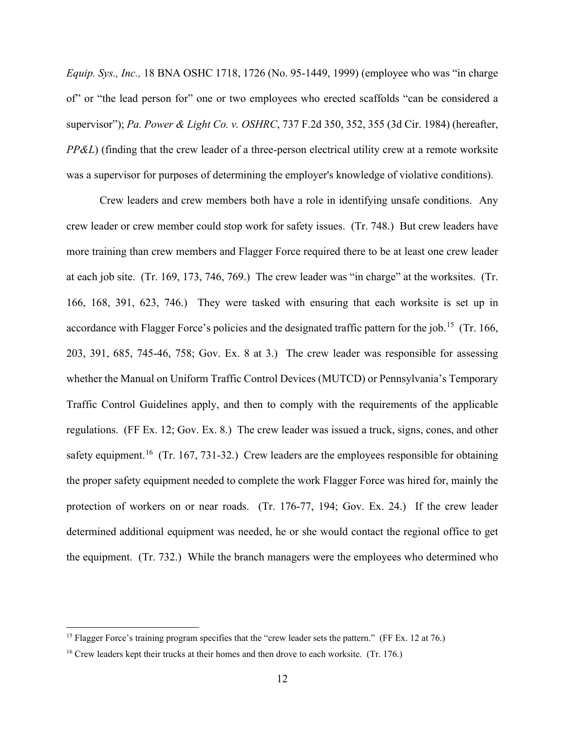*Equip. Sys., Inc.,* 18 BNA OSHC 1718, 1726 (No. 95-1449, 1999) (employee who was "in charge of" or "the lead person for" one or two employees who erected scaffolds "can be considered a supervisor"); *Pa. Power & Light Co. v. OSHRC*, 737 F.2d 350, 352, 355 (3d Cir. 1984) (hereafter, *PP&L*) (finding that the crew leader of a three-person electrical utility crew at a remote worksite was a supervisor for purposes of determining the employer's knowledge of violative conditions).

Crew leaders and crew members both have a role in identifying unsafe conditions. Any crew leader or crew member could stop work for safety issues. (Tr. 748.) But crew leaders have more training than crew members and Flagger Force required there to be at least one crew leader at each job site. (Tr. 169, 173, 746, 769.) The crew leader was "in charge" at the worksites. (Tr. 166, 168, 391, 623, 746.) They were tasked with ensuring that each worksite is set up in accordance with Flagger Force's policies and the designated traffic pattern for the job.<sup>[15](#page-12-0)</sup> (Tr. 166, 203, 391, 685, 745-46, 758; Gov. Ex. 8 at 3.) The crew leader was responsible for assessing whether the Manual on Uniform Traffic Control Devices (MUTCD) or Pennsylvania's Temporary Traffic Control Guidelines apply, and then to comply with the requirements of the applicable regulations. (FF Ex. 12; Gov. Ex. 8.) The crew leader was issued a truck, signs, cones, and other safety equipment.<sup>16</sup> (Tr. 167, 731-32.) Crew leaders are the employees responsible for obtaining the proper safety equipment needed to complete the work Flagger Force was hired for, mainly the protection of workers on or near roads. (Tr. 176-77, 194; Gov. Ex. 24.) If the crew leader determined additional equipment was needed, he or she would contact the regional office to get the equipment. (Tr. 732.) While the branch managers were the employees who determined who

<span id="page-12-0"></span><sup>&</sup>lt;sup>15</sup> Flagger Force's training program specifies that the "crew leader sets the pattern." (FF Ex. 12 at 76.)

<span id="page-12-1"></span><sup>&</sup>lt;sup>16</sup> Crew leaders kept their trucks at their homes and then drove to each worksite. (Tr. 176.)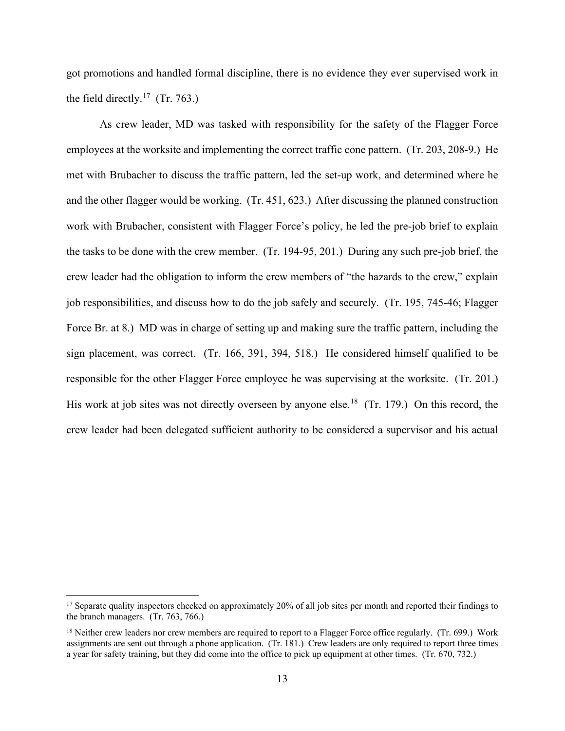got promotions and handled formal discipline, there is no evidence they ever supervised work in the field directly.<sup>17</sup> (Tr. 763.)

As crew leader, MD was tasked with responsibility for the safety of the Flagger Force employees at the worksite and implementing the correct traffic cone pattern. (Tr. 203, 208-9.) He met with Brubacher to discuss the traffic pattern, led the set-up work, and determined where he and the other flagger would be working. (Tr. 451, 623.) After discussing the planned construction work with Brubacher, consistent with Flagger Force's policy, he led the pre-job brief to explain the tasks to be done with the crew member. (Tr. 194-95, 201.) During any such pre-job brief, the crew leader had the obligation to inform the crew members of "the hazards to the crew," explain job responsibilities, and discuss how to do the job safely and securely. (Tr. 195, 745-46; Flagger Force Br. at 8.) MD was in charge of setting up and making sure the traffic pattern, including the sign placement, was correct. (Tr. 166, 391, 394, 518.) He considered himself qualified to be responsible for the other Flagger Force employee he was supervising at the worksite. (Tr. 201.) His work at job sites was not directly overseen by anyone else.<sup>18</sup> (Tr. 179.) On this record, the crew leader had been delegated sufficient authority to be considered a supervisor and his actual

<span id="page-13-0"></span><sup>&</sup>lt;sup>17</sup> Separate quality inspectors checked on approximately 20% of all job sites per month and reported their findings to the branch managers. (Tr. 763, 766.)

<span id="page-13-1"></span> $18$  Neither crew leaders nor crew members are required to report to a Flagger Force office regularly. (Tr. 699.) Work assignments are sent out through a phone application. (Tr. 181.) Crew leaders are only required to report three times a year for safety training, but they did come into the office to pick up equipment at other times. (Tr. 670, 732.)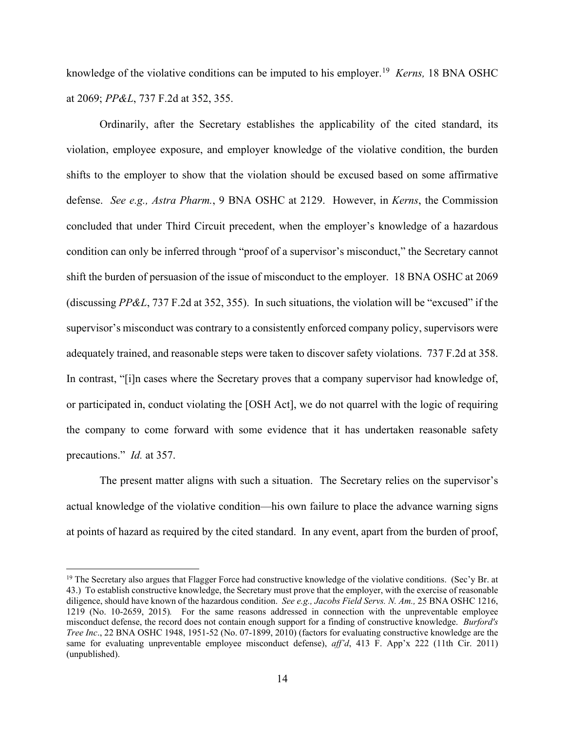knowledge of the violative conditions can be imputed to his employer.[19](#page-14-0) *Kerns,* 18 BNA OSHC at 2069; *PP&L*, 737 F.2d at 352, 355.

Ordinarily, after the Secretary establishes the applicability of the cited standard, its violation, employee exposure, and employer knowledge of the violative condition, the burden shifts to the employer to show that the violation should be excused based on some affirmative defense. *See e.g., Astra Pharm.*, 9 BNA OSHC at 2129. However, in *Kerns*, the Commission concluded that under Third Circuit precedent, when the employer's knowledge of a hazardous condition can only be inferred through "proof of a supervisor's misconduct," the Secretary cannot shift the burden of persuasion of the issue of misconduct to the employer. 18 BNA OSHC at 2069 (discussing *PP&L*, 737 F.2d at 352, 355). In such situations, the violation will be "excused" if the supervisor's misconduct was contrary to a consistently enforced company policy, supervisors were adequately trained, and reasonable steps were taken to discover safety violations. 737 F.2d at 358. In contrast, "[i]n cases where the Secretary proves that a company supervisor had knowledge of, or participated in, conduct violating the [OSH Act], we do not quarrel with the logic of requiring the company to come forward with some evidence that it has undertaken reasonable safety precautions." *Id.* at 357.

The present matter aligns with such a situation. The Secretary relies on the supervisor's actual knowledge of the violative condition—his own failure to place the advance warning signs at points of hazard as required by the cited standard. In any event, apart from the burden of proof,

<span id="page-14-0"></span><sup>&</sup>lt;sup>19</sup> The Secretary also argues that Flagger Force had constructive knowledge of the violative conditions. (Sec'y Br. at 43.) To establish constructive knowledge, the Secretary must prove that the employer, with the exercise of reasonable diligence, should have known of the hazardous condition. *See e.g., Jacobs Field Servs. N. Am.,* 25 BNA OSHC 1216, 1219 (No. 10-2659, 2015)*.* For the same reasons addressed in connection with the unpreventable employee misconduct defense, the record does not contain enough support for a finding of constructive knowledge. *Burford's Tree Inc*., 22 BNA OSHC 1948, 1951-52 (No. 07-1899, 2010) (factors for evaluating constructive knowledge are the same for evaluating unpreventable employee misconduct defense), *aff'd*, 413 F. App'x 222 (11th Cir. 2011) (unpublished).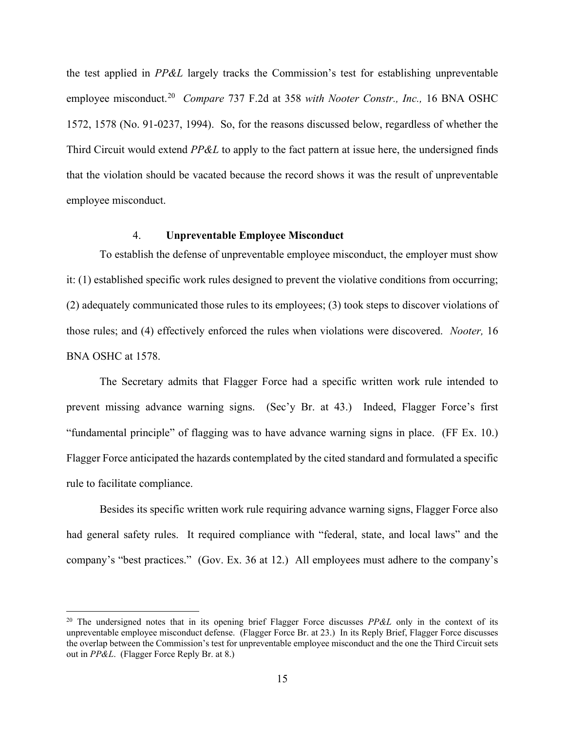the test applied in *PP&L* largely tracks the Commission's test for establishing unpreventable employee misconduct.[20](#page-15-0) *Compare* 737 F.2d at 358 *with Nooter Constr., Inc.,* 16 BNA OSHC 1572, 1578 (No. 91-0237, 1994). So, for the reasons discussed below, regardless of whether the Third Circuit would extend *PP&L* to apply to the fact pattern at issue here, the undersigned finds that the violation should be vacated because the record shows it was the result of unpreventable employee misconduct.

# 4. **Unpreventable Employee Misconduct**

To establish the defense of unpreventable employee misconduct, the employer must show it: (1) established specific work rules designed to prevent the violative conditions from occurring; (2) adequately communicated those rules to its employees; (3) took steps to discover violations of those rules; and (4) effectively enforced the rules when violations were discovered. *Nooter,* 16 BNA OSHC at 1578.

The Secretary admits that Flagger Force had a specific written work rule intended to prevent missing advance warning signs. (Sec'y Br. at 43.) Indeed, Flagger Force's first "fundamental principle" of flagging was to have advance warning signs in place. (FF Ex. 10.) Flagger Force anticipated the hazards contemplated by the cited standard and formulated a specific rule to facilitate compliance.

Besides its specific written work rule requiring advance warning signs, Flagger Force also had general safety rules. It required compliance with "federal, state, and local laws" and the company's "best practices." (Gov. Ex. 36 at 12.) All employees must adhere to the company's

<span id="page-15-0"></span><sup>20</sup> The undersigned notes that in its opening brief Flagger Force discusses *PP&L* only in the context of its unpreventable employee misconduct defense. (Flagger Force Br. at 23.) In its Reply Brief, Flagger Force discusses the overlap between the Commission's test for unpreventable employee misconduct and the one the Third Circuit sets out in *PP&L*. (Flagger Force Reply Br. at 8.)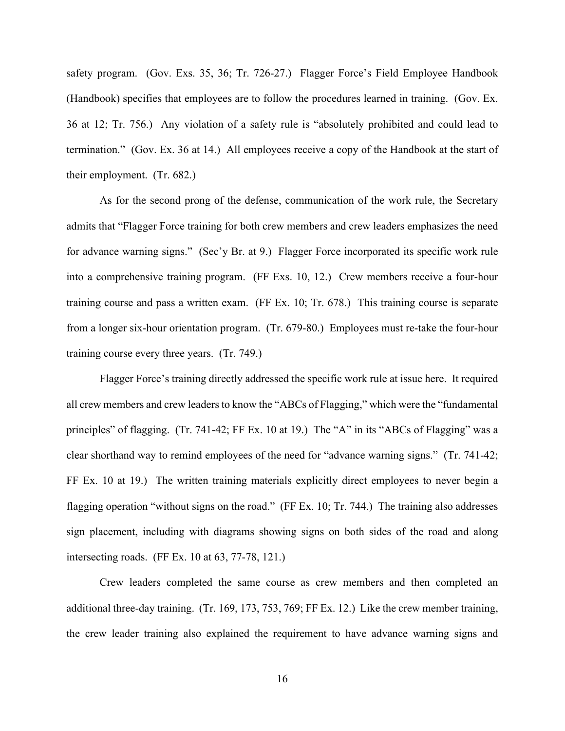safety program. (Gov. Exs. 35, 36; Tr. 726-27.) Flagger Force's Field Employee Handbook (Handbook) specifies that employees are to follow the procedures learned in training. (Gov. Ex. 36 at 12; Tr. 756.) Any violation of a safety rule is "absolutely prohibited and could lead to termination." (Gov. Ex. 36 at 14.) All employees receive a copy of the Handbook at the start of their employment. (Tr. 682.)

As for the second prong of the defense, communication of the work rule, the Secretary admits that "Flagger Force training for both crew members and crew leaders emphasizes the need for advance warning signs." (Sec'y Br. at 9.) Flagger Force incorporated its specific work rule into a comprehensive training program. (FF Exs. 10, 12.) Crew members receive a four-hour training course and pass a written exam. (FF Ex. 10; Tr. 678.) This training course is separate from a longer six-hour orientation program. (Tr. 679-80.) Employees must re-take the four-hour training course every three years. (Tr. 749.)

Flagger Force's training directly addressed the specific work rule at issue here. It required all crew members and crew leaders to know the "ABCs of Flagging," which were the "fundamental principles" of flagging. (Tr. 741-42; FF Ex. 10 at 19.) The "A" in its "ABCs of Flagging" was a clear shorthand way to remind employees of the need for "advance warning signs." (Tr. 741-42; FF Ex. 10 at 19.) The written training materials explicitly direct employees to never begin a flagging operation "without signs on the road." (FF Ex. 10; Tr. 744.) The training also addresses sign placement, including with diagrams showing signs on both sides of the road and along intersecting roads. (FF Ex. 10 at 63, 77-78, 121.)

Crew leaders completed the same course as crew members and then completed an additional three-day training. (Tr. 169, 173, 753, 769; FF Ex. 12.) Like the crew member training, the crew leader training also explained the requirement to have advance warning signs and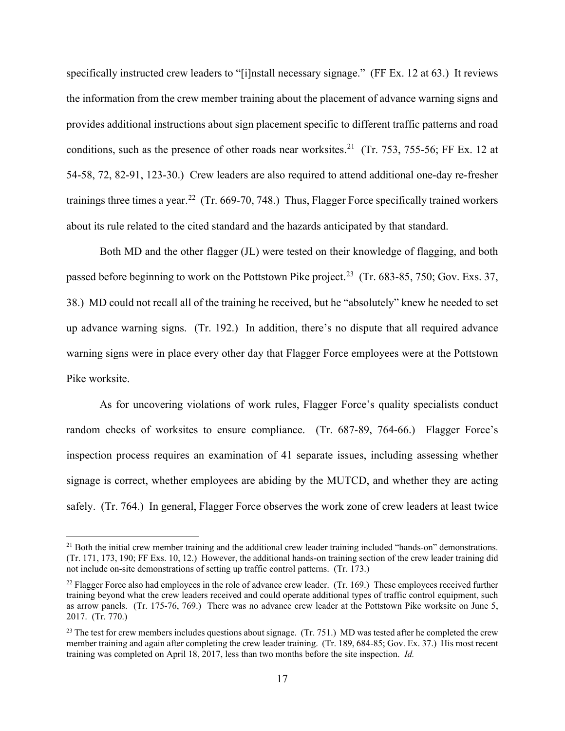specifically instructed crew leaders to "[i]nstall necessary signage." (FF Ex. 12 at 63.) It reviews the information from the crew member training about the placement of advance warning signs and provides additional instructions about sign placement specific to different traffic patterns and road conditions, such as the presence of other roads near worksites.<sup>[21](#page-17-0)</sup> (Tr. 753, 755-56; FF Ex. 12 at 54-58, 72, 82-91, 123-30.) Crew leaders are also required to attend additional one-day re-fresher trainings three times a year.<sup>[22](#page-17-1)</sup> (Tr. 669-70, 748.) Thus, Flagger Force specifically trained workers about its rule related to the cited standard and the hazards anticipated by that standard.

Both MD and the other flagger (JL) were tested on their knowledge of flagging, and both passed before beginning to work on the Pottstown Pike project.<sup>23</sup> (Tr. 683-85, 750; Gov. Exs. 37, 38.) MD could not recall all of the training he received, but he "absolutely" knew he needed to set up advance warning signs. (Tr. 192.) In addition, there's no dispute that all required advance warning signs were in place every other day that Flagger Force employees were at the Pottstown Pike worksite.

As for uncovering violations of work rules, Flagger Force's quality specialists conduct random checks of worksites to ensure compliance. (Tr. 687-89, 764-66.) Flagger Force's inspection process requires an examination of 41 separate issues, including assessing whether signage is correct, whether employees are abiding by the MUTCD, and whether they are acting safely. (Tr. 764.) In general, Flagger Force observes the work zone of crew leaders at least twice

<span id="page-17-0"></span><sup>&</sup>lt;sup>21</sup> Both the initial crew member training and the additional crew leader training included "hands-on" demonstrations. (Tr. 171, 173, 190; FF Exs. 10, 12.) However, the additional hands-on training section of the crew leader training did not include on-site demonstrations of setting up traffic control patterns. (Tr. 173.)

<span id="page-17-1"></span> $^{22}$  Flagger Force also had employees in the role of advance crew leader. (Tr. 169.) These employees received further training beyond what the crew leaders received and could operate additional types of traffic control equipment, such as arrow panels. (Tr. 175-76, 769.) There was no advance crew leader at the Pottstown Pike worksite on June 5, 2017. (Tr. 770.)

<span id="page-17-2"></span><sup>&</sup>lt;sup>23</sup> The test for crew members includes questions about signage. (Tr. 751.) MD was tested after he completed the crew member training and again after completing the crew leader training. (Tr. 189, 684-85; Gov. Ex. 37.) His most recent training was completed on April 18, 2017, less than two months before the site inspection. *Id.*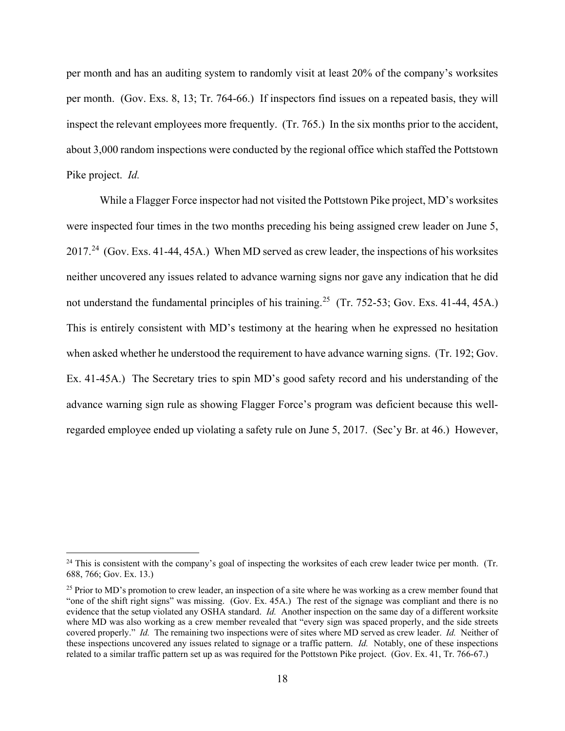per month and has an auditing system to randomly visit at least 20% of the company's worksites per month. (Gov. Exs. 8, 13; Tr. 764-66.) If inspectors find issues on a repeated basis, they will inspect the relevant employees more frequently. (Tr. 765.) In the six months prior to the accident, about 3,000 random inspections were conducted by the regional office which staffed the Pottstown Pike project. *Id.* 

While a Flagger Force inspector had not visited the Pottstown Pike project, MD's worksites were inspected four times in the two months preceding his being assigned crew leader on June 5, 2017.[24](#page-18-0) (Gov. Exs. 41-44, 45A.) When MD served as crew leader, the inspections of his worksites neither uncovered any issues related to advance warning signs nor gave any indication that he did not understand the fundamental principles of his training.<sup>25</sup> (Tr. 752-53; Gov. Exs. 41-44, 45A.) This is entirely consistent with MD's testimony at the hearing when he expressed no hesitation when asked whether he understood the requirement to have advance warning signs. (Tr. 192; Gov. Ex. 41-45A.) The Secretary tries to spin MD's good safety record and his understanding of the advance warning sign rule as showing Flagger Force's program was deficient because this wellregarded employee ended up violating a safety rule on June 5, 2017. (Sec'y Br. at 46.) However,

<span id="page-18-0"></span><sup>&</sup>lt;sup>24</sup> This is consistent with the company's goal of inspecting the worksites of each crew leader twice per month. (Tr. 688, 766; Gov. Ex. 13.)

<span id="page-18-1"></span><sup>&</sup>lt;sup>25</sup> Prior to MD's promotion to crew leader, an inspection of a site where he was working as a crew member found that "one of the shift right signs" was missing. (Gov. Ex. 45A.) The rest of the signage was compliant and there is no evidence that the setup violated any OSHA standard. *Id.* Another inspection on the same day of a different worksite where MD was also working as a crew member revealed that "every sign was spaced properly, and the side streets covered properly." *Id.* The remaining two inspections were of sites where MD served as crew leader. *Id.* Neither of these inspections uncovered any issues related to signage or a traffic pattern. *Id.* Notably, one of these inspections related to a similar traffic pattern set up as was required for the Pottstown Pike project. (Gov. Ex. 41, Tr. 766-67.)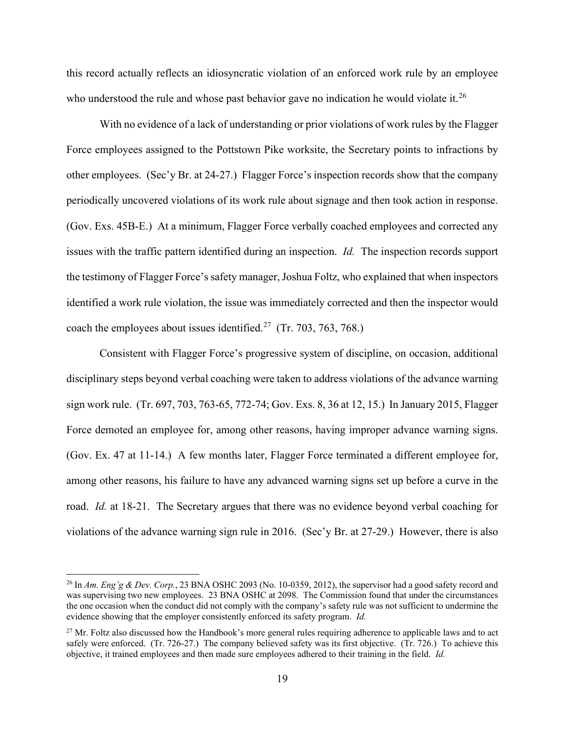this record actually reflects an idiosyncratic violation of an enforced work rule by an employee who understood the rule and whose past behavior gave no indication he would violate it.<sup>26</sup>

With no evidence of a lack of understanding or prior violations of work rules by the Flagger Force employees assigned to the Pottstown Pike worksite, the Secretary points to infractions by other employees. (Sec'y Br. at 24-27.) Flagger Force's inspection records show that the company periodically uncovered violations of its work rule about signage and then took action in response. (Gov. Exs. 45B-E.) At a minimum, Flagger Force verbally coached employees and corrected any issues with the traffic pattern identified during an inspection. *Id.* The inspection records support the testimony of Flagger Force's safety manager, Joshua Foltz, who explained that when inspectors identified a work rule violation, the issue was immediately corrected and then the inspector would coach the employees about issues identified.<sup>27</sup> (Tr. 703, 763, 768.)

Consistent with Flagger Force's progressive system of discipline, on occasion, additional disciplinary steps beyond verbal coaching were taken to address violations of the advance warning sign work rule. (Tr. 697, 703, 763-65, 772-74; Gov. Exs. 8, 36 at 12, 15.) In January 2015, Flagger Force demoted an employee for, among other reasons, having improper advance warning signs. (Gov. Ex. 47 at 11-14.) A few months later, Flagger Force terminated a different employee for, among other reasons, his failure to have any advanced warning signs set up before a curve in the road. *Id.* at 18-21. The Secretary argues that there was no evidence beyond verbal coaching for violations of the advance warning sign rule in 2016. (Sec'y Br. at 27-29.) However, there is also

<span id="page-19-0"></span><sup>26</sup> In *Am. Eng'g & Dev. Corp.*, 23 BNA OSHC 2093 (No. 10-0359, 2012), the supervisor had a good safety record and was supervising two new employees. 23 BNA OSHC at 2098. The Commission found that under the circumstances the one occasion when the conduct did not comply with the company's safety rule was not sufficient to undermine the evidence showing that the employer consistently enforced its safety program. *Id.* 

<span id="page-19-1"></span> $^{27}$  Mr. Foltz also discussed how the Handbook's more general rules requiring adherence to applicable laws and to act safely were enforced. (Tr. 726-27.) The company believed safety was its first objective. (Tr. 726.) To achieve this objective, it trained employees and then made sure employees adhered to their training in the field. *Id.*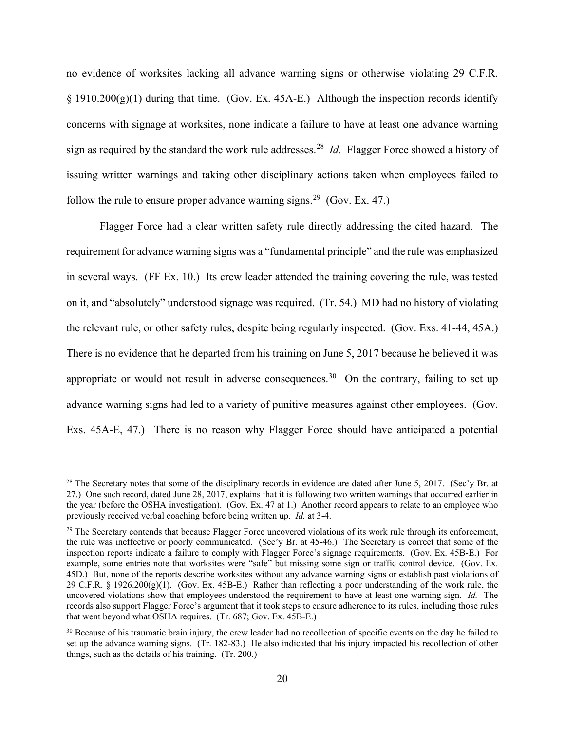no evidence of worksites lacking all advance warning signs or otherwise violating 29 C.F.R.  $\S$  1910.200(g)(1) during that time. (Gov. Ex. 45A-E.) Although the inspection records identify concerns with signage at worksites, none indicate a failure to have at least one advance warning sign as required by the standard the work rule addresses. [28](#page-20-0) *Id.* Flagger Force showed a history of issuing written warnings and taking other disciplinary actions taken when employees failed to follow the rule to ensure proper advance warning signs.<sup>[29](#page-20-1)</sup> (Gov. Ex. 47.)

Flagger Force had a clear written safety rule directly addressing the cited hazard. The requirement for advance warning signs was a "fundamental principle" and the rule was emphasized in several ways. (FF Ex. 10.) Its crew leader attended the training covering the rule, was tested on it, and "absolutely" understood signage was required. (Tr. 54.) MD had no history of violating the relevant rule, or other safety rules, despite being regularly inspected. (Gov. Exs. 41-44, 45A.) There is no evidence that he departed from his training on June 5, 2017 because he believed it was appropriate or would not result in adverse consequences.<sup>30</sup> On the contrary, failing to set up advance warning signs had led to a variety of punitive measures against other employees. (Gov. Exs. 45A-E, 47.) There is no reason why Flagger Force should have anticipated a potential

<span id="page-20-0"></span><sup>&</sup>lt;sup>28</sup> The Secretary notes that some of the disciplinary records in evidence are dated after June 5, 2017. (Sec'y Br. at 27.) One such record, dated June 28, 2017, explains that it is following two written warnings that occurred earlier in the year (before the OSHA investigation). (Gov. Ex. 47 at 1.) Another record appears to relate to an employee who previously received verbal coaching before being written up. *Id.* at 3-4.

<span id="page-20-1"></span> $^{29}$  The Secretary contends that because Flagger Force uncovered violations of its work rule through its enforcement, the rule was ineffective or poorly communicated. (Sec'y Br. at 45-46.) The Secretary is correct that some of the inspection reports indicate a failure to comply with Flagger Force's signage requirements. (Gov. Ex. 45B-E.) For example, some entries note that worksites were "safe" but missing some sign or traffic control device. (Gov. Ex. 45D.) But, none of the reports describe worksites without any advance warning signs or establish past violations of 29 C.F.R. § 1926.200(g)(1). (Gov. Ex. 45B-E.) Rather than reflecting a poor understanding of the work rule, the uncovered violations show that employees understood the requirement to have at least one warning sign. *Id.* The records also support Flagger Force's argument that it took steps to ensure adherence to its rules, including those rules that went beyond what OSHA requires. (Tr. 687; Gov. Ex. 45B-E.)

<span id="page-20-2"></span> $30$  Because of his traumatic brain injury, the crew leader had no recollection of specific events on the day he failed to set up the advance warning signs. (Tr. 182-83.) He also indicated that his injury impacted his recollection of other things, such as the details of his training. (Tr. 200.)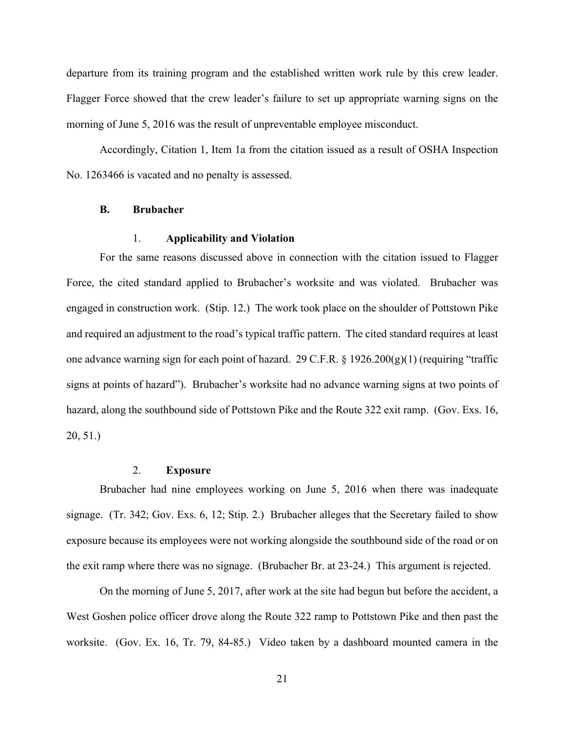departure from its training program and the established written work rule by this crew leader. Flagger Force showed that the crew leader's failure to set up appropriate warning signs on the morning of June 5, 2016 was the result of unpreventable employee misconduct.

Accordingly, Citation 1, Item 1a from the citation issued as a result of OSHA Inspection No. 1263466 is vacated and no penalty is assessed.

#### **B. Brubacher**

## 1. **Applicability and Violation**

For the same reasons discussed above in connection with the citation issued to Flagger Force, the cited standard applied to Brubacher's worksite and was violated. Brubacher was engaged in construction work. (Stip. 12.) The work took place on the shoulder of Pottstown Pike and required an adjustment to the road's typical traffic pattern. The cited standard requires at least one advance warning sign for each point of hazard. 29 C.F.R. § 1926.200(g)(1) (requiring "traffic signs at points of hazard"). Brubacher's worksite had no advance warning signs at two points of hazard, along the southbound side of Pottstown Pike and the Route 322 exit ramp. (Gov. Exs. 16, 20, 51.)

#### 2. **Exposure**

Brubacher had nine employees working on June 5, 2016 when there was inadequate signage. (Tr. 342; Gov. Exs. 6, 12; Stip. 2.) Brubacher alleges that the Secretary failed to show exposure because its employees were not working alongside the southbound side of the road or on the exit ramp where there was no signage. (Brubacher Br. at 23-24.) This argument is rejected.

On the morning of June 5, 2017, after work at the site had begun but before the accident, a West Goshen police officer drove along the Route 322 ramp to Pottstown Pike and then past the worksite. (Gov. Ex. 16, Tr. 79, 84-85.) Video taken by a dashboard mounted camera in the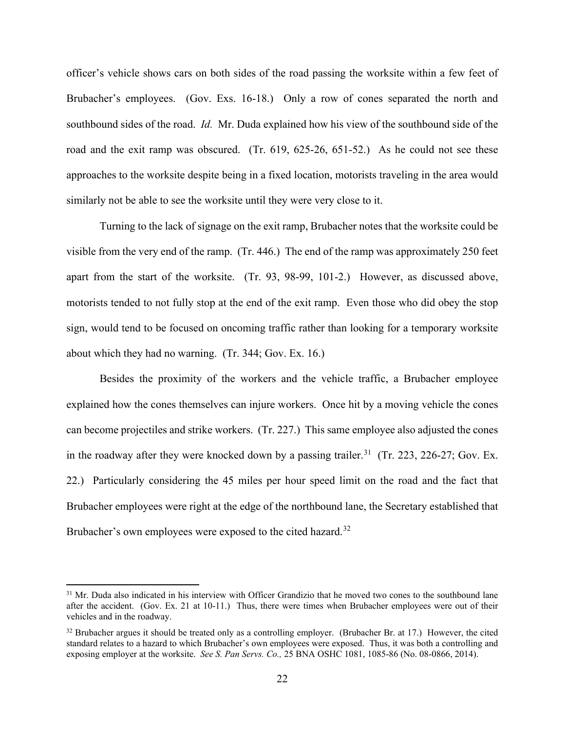officer's vehicle shows cars on both sides of the road passing the worksite within a few feet of Brubacher's employees. (Gov. Exs. 16-18.) Only a row of cones separated the north and southbound sides of the road. *Id.* Mr. Duda explained how his view of the southbound side of the road and the exit ramp was obscured. (Tr. 619, 625-26, 651-52.) As he could not see these approaches to the worksite despite being in a fixed location, motorists traveling in the area would similarly not be able to see the worksite until they were very close to it.

Turning to the lack of signage on the exit ramp, Brubacher notes that the worksite could be visible from the very end of the ramp. (Tr. 446.) The end of the ramp was approximately 250 feet apart from the start of the worksite. (Tr. 93, 98-99, 101-2.) However, as discussed above, motorists tended to not fully stop at the end of the exit ramp. Even those who did obey the stop sign, would tend to be focused on oncoming traffic rather than looking for a temporary worksite about which they had no warning. (Tr. 344; Gov. Ex. 16.)

Besides the proximity of the workers and the vehicle traffic, a Brubacher employee explained how the cones themselves can injure workers. Once hit by a moving vehicle the cones can become projectiles and strike workers. (Tr. 227.) This same employee also adjusted the cones in the roadway after they were knocked down by a passing trailer.<sup>31</sup> (Tr. 223, 226-27; Gov. Ex. 22.) Particularly considering the 45 miles per hour speed limit on the road and the fact that Brubacher employees were right at the edge of the northbound lane, the Secretary established that Brubacher's own employees were exposed to the cited hazard.<sup>[32](#page-22-1)</sup>

<span id="page-22-0"></span><sup>&</sup>lt;sup>31</sup> Mr. Duda also indicated in his interview with Officer Grandizio that he moved two cones to the southbound lane after the accident. (Gov. Ex. 21 at 10-11.) Thus, there were times when Brubacher employees were out of their vehicles and in the roadway.

<span id="page-22-1"></span> $32$  Brubacher argues it should be treated only as a controlling employer. (Brubacher Br. at 17.) However, the cited standard relates to a hazard to which Brubacher's own employees were exposed. Thus, it was both a controlling and exposing employer at the worksite. *See S. Pan Servs. Co.,* 25 BNA OSHC 1081, 1085-86 (No. 08-0866, 2014).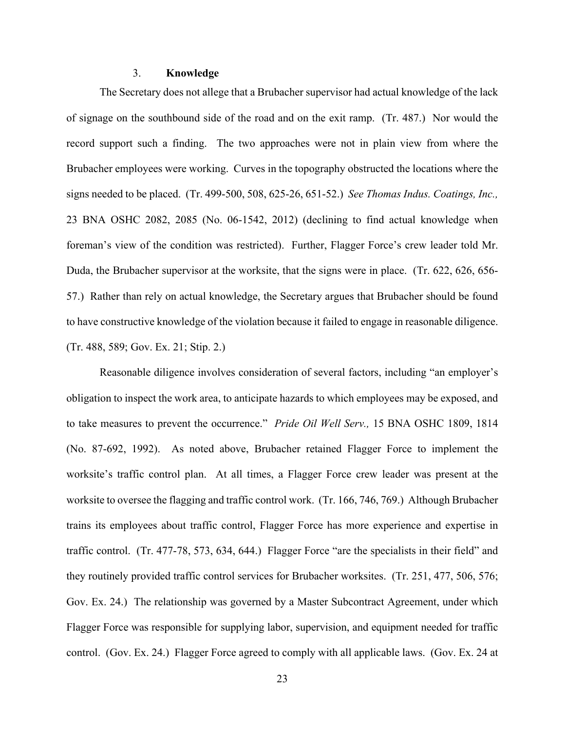## 3. **Knowledge**

The Secretary does not allege that a Brubacher supervisor had actual knowledge of the lack of signage on the southbound side of the road and on the exit ramp. (Tr. 487.) Nor would the record support such a finding. The two approaches were not in plain view from where the Brubacher employees were working. Curves in the topography obstructed the locations where the signs needed to be placed. (Tr. 499-500, 508, 625-26, 651-52.) *See Thomas Indus. Coatings, Inc.,* 23 BNA OSHC 2082, 2085 (No. 06-1542, 2012) (declining to find actual knowledge when foreman's view of the condition was restricted). Further, Flagger Force's crew leader told Mr. Duda, the Brubacher supervisor at the worksite, that the signs were in place. (Tr. 622, 626, 656- 57.) Rather than rely on actual knowledge, the Secretary argues that Brubacher should be found to have constructive knowledge of the violation because it failed to engage in reasonable diligence. (Tr. 488, 589; Gov. Ex. 21; Stip. 2.)

Reasonable diligence involves consideration of several factors, including "an employer's obligation to inspect the work area, to anticipate hazards to which employees may be exposed, and to take measures to prevent the occurrence." *Pride Oil Well Serv.,* 15 BNA OSHC 1809, 1814 (No. 87-692, 1992). As noted above, Brubacher retained Flagger Force to implement the worksite's traffic control plan. At all times, a Flagger Force crew leader was present at the worksite to oversee the flagging and traffic control work. (Tr. 166, 746, 769.) Although Brubacher trains its employees about traffic control, Flagger Force has more experience and expertise in traffic control. (Tr. 477-78, 573, 634, 644.) Flagger Force "are the specialists in their field" and they routinely provided traffic control services for Brubacher worksites. (Tr. 251, 477, 506, 576; Gov. Ex. 24.) The relationship was governed by a Master Subcontract Agreement, under which Flagger Force was responsible for supplying labor, supervision, and equipment needed for traffic control. (Gov. Ex. 24.) Flagger Force agreed to comply with all applicable laws. (Gov. Ex. 24 at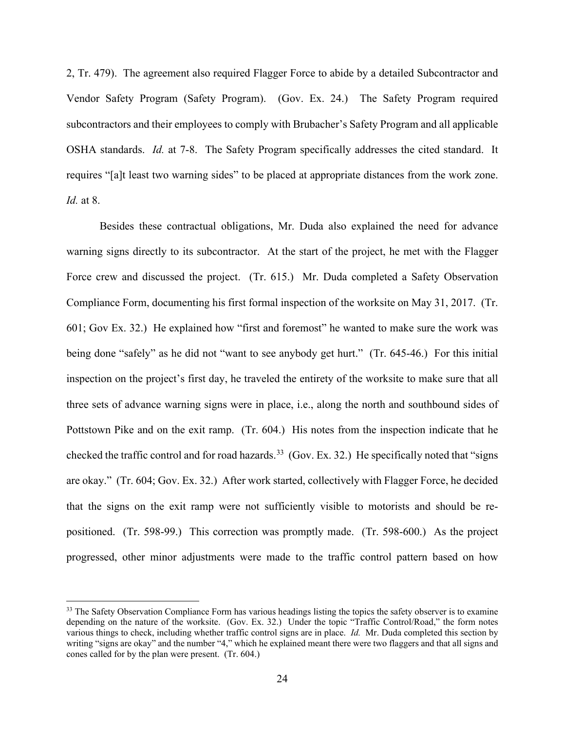2, Tr. 479). The agreement also required Flagger Force to abide by a detailed Subcontractor and Vendor Safety Program (Safety Program). (Gov. Ex. 24.) The Safety Program required subcontractors and their employees to comply with Brubacher's Safety Program and all applicable OSHA standards. *Id.* at 7-8. The Safety Program specifically addresses the cited standard. It requires "[a]t least two warning sides" to be placed at appropriate distances from the work zone. *Id.* at 8.

Besides these contractual obligations, Mr. Duda also explained the need for advance warning signs directly to its subcontractor. At the start of the project, he met with the Flagger Force crew and discussed the project. (Tr. 615.) Mr. Duda completed a Safety Observation Compliance Form, documenting his first formal inspection of the worksite on May 31, 2017. (Tr. 601; Gov Ex. 32.) He explained how "first and foremost" he wanted to make sure the work was being done "safely" as he did not "want to see anybody get hurt." (Tr. 645-46.) For this initial inspection on the project's first day, he traveled the entirety of the worksite to make sure that all three sets of advance warning signs were in place, i.e., along the north and southbound sides of Pottstown Pike and on the exit ramp. (Tr. 604.) His notes from the inspection indicate that he checked the traffic control and for road hazards.<sup>33</sup> (Gov. Ex. 32.) He specifically noted that "signs" are okay." (Tr. 604; Gov. Ex. 32.) After work started, collectively with Flagger Force, he decided that the signs on the exit ramp were not sufficiently visible to motorists and should be repositioned. (Tr. 598-99.) This correction was promptly made. (Tr. 598-600.) As the project progressed, other minor adjustments were made to the traffic control pattern based on how

<span id="page-24-0"></span><sup>&</sup>lt;sup>33</sup> The Safety Observation Compliance Form has various headings listing the topics the safety observer is to examine depending on the nature of the worksite. (Gov. Ex. 32.) Under the topic "Traffic Control/Road," the form notes various things to check, including whether traffic control signs are in place. *Id.* Mr. Duda completed this section by writing "signs are okay" and the number "4," which he explained meant there were two flaggers and that all signs and cones called for by the plan were present. (Tr. 604.)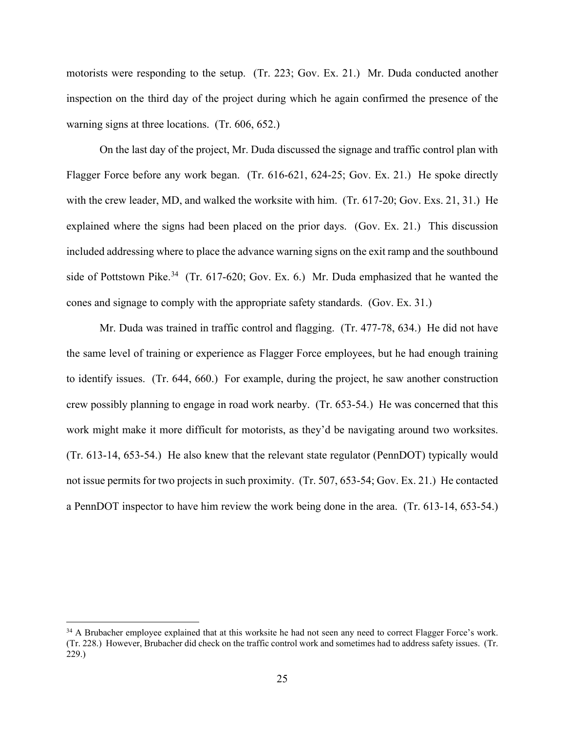motorists were responding to the setup. (Tr. 223; Gov. Ex. 21.) Mr. Duda conducted another inspection on the third day of the project during which he again confirmed the presence of the warning signs at three locations. (Tr. 606, 652.)

On the last day of the project, Mr. Duda discussed the signage and traffic control plan with Flagger Force before any work began. (Tr. 616-621, 624-25; Gov. Ex. 21.) He spoke directly with the crew leader, MD, and walked the worksite with him. (Tr. 617-20; Gov. Exs. 21, 31.) He explained where the signs had been placed on the prior days. (Gov. Ex. 21.) This discussion included addressing where to place the advance warning signs on the exit ramp and the southbound side of Pottstown Pike.<sup>34</sup> (Tr. 617-620; Gov. Ex. 6.) Mr. Duda emphasized that he wanted the cones and signage to comply with the appropriate safety standards. (Gov. Ex. 31.)

Mr. Duda was trained in traffic control and flagging. (Tr. 477-78, 634.) He did not have the same level of training or experience as Flagger Force employees, but he had enough training to identify issues. (Tr. 644, 660.) For example, during the project, he saw another construction crew possibly planning to engage in road work nearby. (Tr. 653-54.) He was concerned that this work might make it more difficult for motorists, as they'd be navigating around two worksites. (Tr. 613-14, 653-54.) He also knew that the relevant state regulator (PennDOT) typically would not issue permits for two projects in such proximity. (Tr. 507, 653-54; Gov. Ex. 21.) He contacted a PennDOT inspector to have him review the work being done in the area. (Tr. 613-14, 653-54.)

<span id="page-25-0"></span><sup>&</sup>lt;sup>34</sup> A Brubacher employee explained that at this worksite he had not seen any need to correct Flagger Force's work. (Tr. 228.) However, Brubacher did check on the traffic control work and sometimes had to address safety issues. (Tr. 229.)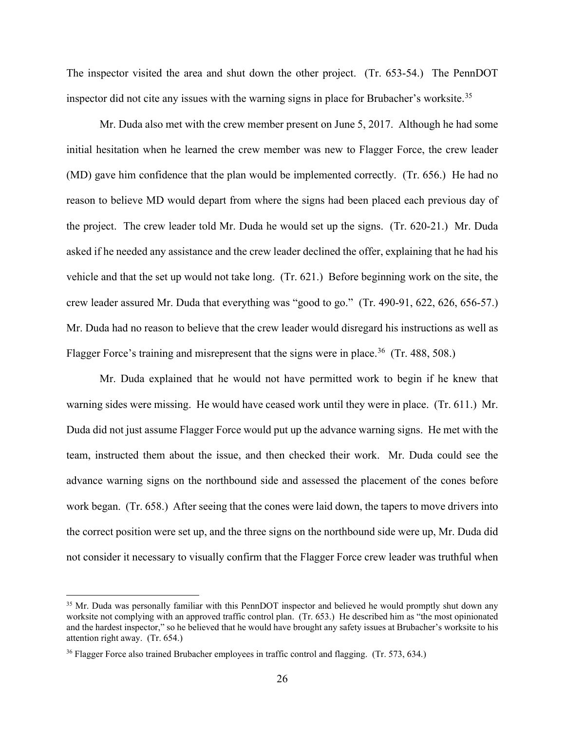The inspector visited the area and shut down the other project. (Tr. 653-54.) The PennDOT inspector did not cite any issues with the warning signs in place for Brubacher's worksite.<sup>[35](#page-26-0)</sup>

Mr. Duda also met with the crew member present on June 5, 2017. Although he had some initial hesitation when he learned the crew member was new to Flagger Force, the crew leader (MD) gave him confidence that the plan would be implemented correctly. (Tr. 656.) He had no reason to believe MD would depart from where the signs had been placed each previous day of the project. The crew leader told Mr. Duda he would set up the signs. (Tr. 620-21.) Mr. Duda asked if he needed any assistance and the crew leader declined the offer, explaining that he had his vehicle and that the set up would not take long. (Tr. 621.) Before beginning work on the site, the crew leader assured Mr. Duda that everything was "good to go." (Tr. 490-91, 622, 626, 656-57.) Mr. Duda had no reason to believe that the crew leader would disregard his instructions as well as Flagger Force's training and misrepresent that the signs were in place.<sup>[36](#page-26-1)</sup> (Tr. 488, 508.)

Mr. Duda explained that he would not have permitted work to begin if he knew that warning sides were missing. He would have ceased work until they were in place. (Tr. 611.) Mr. Duda did not just assume Flagger Force would put up the advance warning signs. He met with the team, instructed them about the issue, and then checked their work. Mr. Duda could see the advance warning signs on the northbound side and assessed the placement of the cones before work began. (Tr. 658.) After seeing that the cones were laid down, the tapers to move drivers into the correct position were set up, and the three signs on the northbound side were up, Mr. Duda did not consider it necessary to visually confirm that the Flagger Force crew leader was truthful when

<span id="page-26-0"></span><sup>&</sup>lt;sup>35</sup> Mr. Duda was personally familiar with this PennDOT inspector and believed he would promptly shut down any worksite not complying with an approved traffic control plan. (Tr. 653.) He described him as "the most opinionated and the hardest inspector," so he believed that he would have brought any safety issues at Brubacher's worksite to his attention right away. (Tr. 654.)

<span id="page-26-1"></span><sup>&</sup>lt;sup>36</sup> Flagger Force also trained Brubacher employees in traffic control and flagging. (Tr. 573, 634.)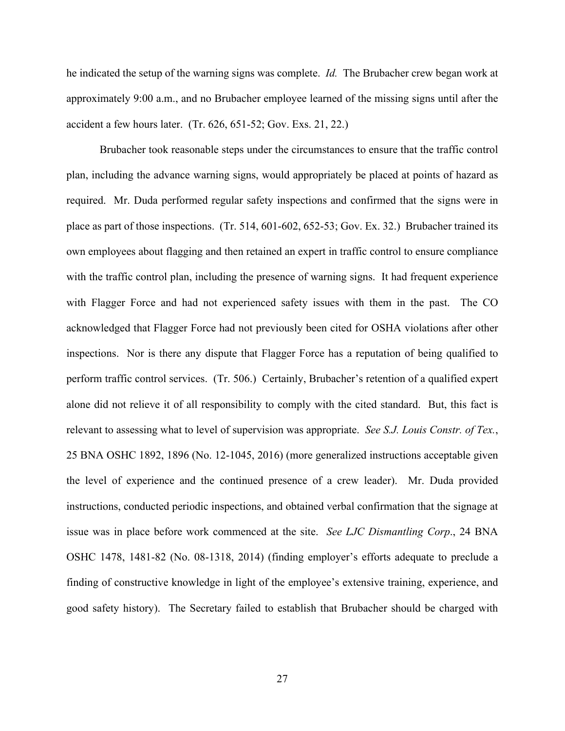he indicated the setup of the warning signs was complete. *Id.* The Brubacher crew began work at approximately 9:00 a.m., and no Brubacher employee learned of the missing signs until after the accident a few hours later. (Tr. 626, 651-52; Gov. Exs. 21, 22.)

Brubacher took reasonable steps under the circumstances to ensure that the traffic control plan, including the advance warning signs, would appropriately be placed at points of hazard as required. Mr. Duda performed regular safety inspections and confirmed that the signs were in place as part of those inspections. (Tr. 514, 601-602, 652-53; Gov. Ex. 32.) Brubacher trained its own employees about flagging and then retained an expert in traffic control to ensure compliance with the traffic control plan, including the presence of warning signs. It had frequent experience with Flagger Force and had not experienced safety issues with them in the past. The CO acknowledged that Flagger Force had not previously been cited for OSHA violations after other inspections. Nor is there any dispute that Flagger Force has a reputation of being qualified to perform traffic control services. (Tr. 506.) Certainly, Brubacher's retention of a qualified expert alone did not relieve it of all responsibility to comply with the cited standard. But, this fact is relevant to assessing what to level of supervision was appropriate. *See S.J. Louis Constr. of Tex.*, 25 BNA OSHC 1892, 1896 (No. 12-1045, 2016) (more generalized instructions acceptable given the level of experience and the continued presence of a crew leader). Mr. Duda provided instructions, conducted periodic inspections, and obtained verbal confirmation that the signage at issue was in place before work commenced at the site. *See LJC Dismantling Corp*., 24 BNA OSHC 1478, 1481-82 (No. 08-1318, 2014) (finding employer's efforts adequate to preclude a finding of constructive knowledge in light of the employee's extensive training, experience, and good safety history). The Secretary failed to establish that Brubacher should be charged with